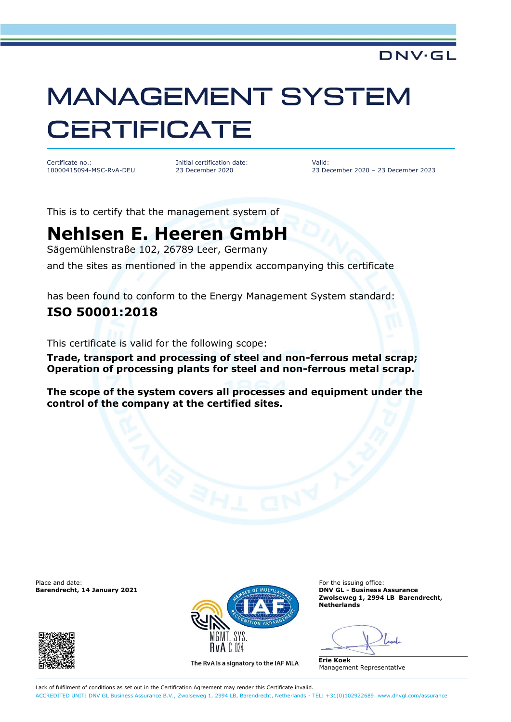# **MANAGEMENT SYSTEM CERTIFICATE**

Certificate no.: 10000415094-MSC-RvA-DEU Initial certification date: 23 December 2020

Valid: 23 December 2020 – 23 December 2023

**DNV·GL** 

This is to certify that the management system of

## **Nehlsen E. Heeren GmbH**

Sägemühlenstraße 102, 26789 Leer, Germany

and the sites as mentioned in the appendix accompanying this certificate

has been found to conform to the Energy Management System standard:

### **ISO 50001:2018**

This certificate is valid for the following scope:

**Trade, transport and processing of steel and non-ferrous metal scrap; Operation of processing plants for steel and non-ferrous metal scrap.**

**The scope of the system covers all processes and equipment under the control of the company at the certified sites.**





The RvA is a signatory to the IAF MLA

**Barendrecht, 14 January 2021 DNV GL - Business Assurance Zwolseweg 1, 2994 LB Barendrecht, Netherlands**

**Erie Koek** Management Representative

Lack of fulfilment of conditions as set out in the Certification Agreement may render this Certificate invalid. ACCREDITED UNIT: DNV GL Business Assurance B.V., Zwolseweg 1, 2994 LB, Barendrecht, Netherlands - TEL: +31(0)102922689. [www.dnvgl.com/assurance](http://www.dnvgl.com/assurance)